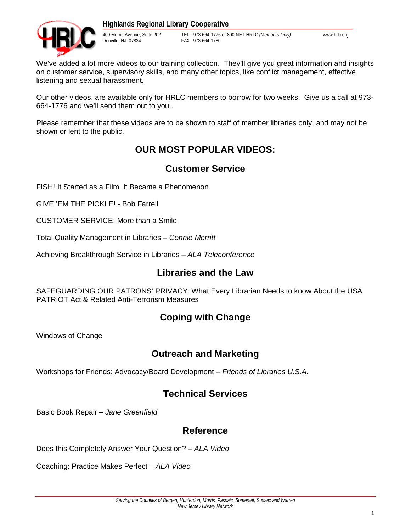

400 Morris Avenue, Suite 202 TEL: 973-664-1776 or 800-NET-HRLC *(Members Only)* [www.hrlc.org](http://www.hrlc.org) FAX: 973-664-1780

We've added a lot more videos to our training collection. They'll give you great information and insights on customer service, supervisory skills, and many other topics, like conflict management, effective listening and sexual harassment.

Our other videos, are available only for HRLC members to borrow for two weeks. Give us a call at 973- 664-1776 and we'll send them out to you..

Please remember that these videos are to be shown to staff of member libraries only, and may not be shown or lent to the public.

## **OUR MOST POPULAR VIDEOS:**

## **Customer Service**

FISH! It Started as a Film. It Became a Phenomenon

GIVE 'EM THE PICKLE! - Bob Farrell

CUSTOMER SERVICE: More than a Smile

Total Quality Management in Libraries – *Connie Merritt* 

Achieving Breakthrough Service in Libraries – *ALA Teleconference*

## **Libraries and the Law**

SAFEGUARDING OUR PATRONS' PRIVACY: What Every Librarian Needs to know About the USA PATRIOT Act & Related Anti-Terrorism Measures

## **Coping with Change**

Windows of Change

## **Outreach and Marketing**

Workshops for Friends: Advocacy/Board Development – *Friends of Libraries U.S.A.*

## **Technical Services**

Basic Book Repair – *Jane Greenfield*

## **Reference**

Does this Completely Answer Your Question? – *ALA Video* 

Coaching: Practice Makes Perfect – *ALA Video*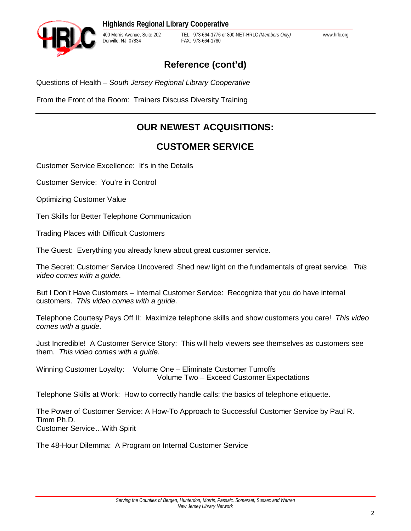

400 Morris Avenue, Suite 202 TEL: 973-664-1776 or 800-NET-HRLC *(Members Only)* [www.hrlc.org](http://www.hrlc.org) FAX: 973-664-1780

## **Reference (cont'd)**

Questions of Health – *South Jersey Regional Library Cooperative*

From the Front of the Room: Trainers Discuss Diversity Training

# **OUR NEWEST ACQUISITIONS:**

## **CUSTOMER SERVICE**

Customer Service Excellence: It's in the Details

Customer Service: You're in Control

Optimizing Customer Value

Ten Skills for Better Telephone Communication

Trading Places with Difficult Customers

The Guest: Everything you already knew about great customer service.

The Secret: Customer Service Uncovered: Shed new light on the fundamentals of great service. *This video comes with a guide.*

But I Don't Have Customers – Internal Customer Service: Recognize that you do have internal customers. *This video comes with a guide.* 

Telephone Courtesy Pays Off II: Maximize telephone skills and show customers you care! *This video comes with a guide.* 

Just Incredible! A Customer Service Story: This will help viewers see themselves as customers see them. *This video comes with a guide.* 

Winning Customer Loyalty: Volume One – Eliminate Customer Turnoffs Volume Two – Exceed Customer Expectations

Telephone Skills at Work: How to correctly handle calls; the basics of telephone etiquette.

The Power of Customer Service: A How-To Approach to Successful Customer Service by Paul R. Timm Ph.D. Customer Service…With Spirit

The 48-Hour Dilemma: A Program on Internal Customer Service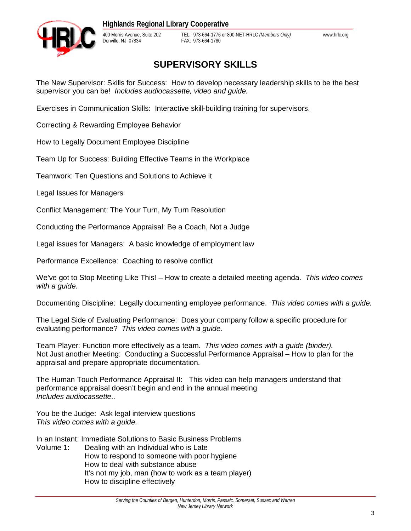

400 Morris Avenue, Suite 202 TEL: 973-664-1776 or 800-NET-HRLC *(Members Only)* [www.hrlc.org](http://www.hrlc.org) FAX: 973-664-1780

# **SUPERVISORY SKILLS**

The New Supervisor: Skills for Success: How to develop necessary leadership skills to be the best supervisor you can be! *Includes audiocassette, video and guide.* 

Exercises in Communication Skills: Interactive skill-building training for supervisors.

Correcting & Rewarding Employee Behavior

How to Legally Document Employee Discipline

Team Up for Success: Building Effective Teams in the Workplace

Teamwork: Ten Questions and Solutions to Achieve it

Legal Issues for Managers

Conflict Management: The Your Turn, My Turn Resolution

Conducting the Performance Appraisal: Be a Coach, Not a Judge

Legal issues for Managers: A basic knowledge of employment law

Performance Excellence: Coaching to resolve conflict

We've got to Stop Meeting Like This! – How to create a detailed meeting agenda. *This video comes with a guide.*

Documenting Discipline: Legally documenting employee performance. *This video comes with a guide.* 

The Legal Side of Evaluating Performance: Does your company follow a specific procedure for evaluating performance? *This video comes with a guide.* 

Team Player: Function more effectively as a team. *This video comes with a guide (binder).*  Not Just another Meeting: Conducting a Successful Performance Appraisal – How to plan for the appraisal and prepare appropriate documentation.

The Human Touch Performance Appraisal II: This video can help managers understand that performance appraisal doesn't begin and end in the annual meeting *Includes audiocassette..*

You be the Judge: Ask legal interview questions *This video comes with a guide.* 

In an Instant: Immediate Solutions to Basic Business Problems

Volume 1: Dealing with an Individual who is Late How to respond to someone with poor hygiene How to deal with substance abuse It's not my job, man (how to work as a team player) How to discipline effectively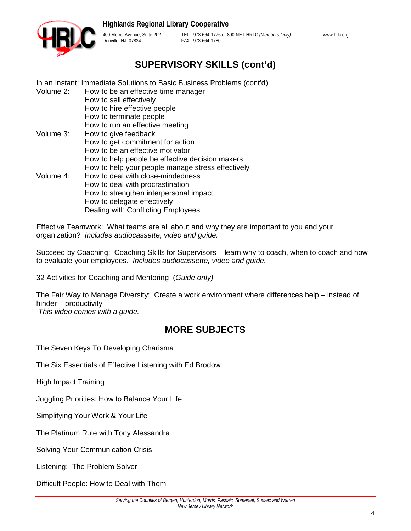

400 Morris Avenue, Suite 202 TEL: 973-664-1776 or 800-NET-HRLC *(Members Only)* [www.hrlc.org](http://www.hrlc.org) FAX: 973-664-1780

# **SUPERVISORY SKILLS (cont'd)**

In an Instant: Immediate Solutions to Basic Business Problems (cont'd)

Volume 2: How to be an effective time manager How to sell effectively How to hire effective people How to terminate people How to run an effective meeting Volume 3: How to give feedback How to get commitment for action How to be an effective motivator How to help people be effective decision makers How to help your people manage stress effectively Volume 4: How to deal with close-mindedness How to deal with procrastination How to strengthen interpersonal impact How to delegate effectively Dealing with Conflicting Employees

Effective Teamwork: What teams are all about and why they are important to you and your organization? *Includes audiocassette, video and guide.* 

Succeed by Coaching: Coaching Skills for Supervisors – learn why to coach, when to coach and how to evaluate your employees. *Includes audiocassette, video and guide.* 

32 Activities for Coaching and Mentoring (*Guide only)* 

The Fair Way to Manage Diversity: Create a work environment where differences help – instead of hinder – productivity

*This video comes with a guide.* 

## **MORE SUBJECTS**

The Seven Keys To Developing Charisma

The Six Essentials of Effective Listening with Ed Brodow

High Impact Training

Juggling Priorities: How to Balance Your Life

Simplifying Your Work & Your Life

The Platinum Rule with Tony Alessandra

Solving Your Communication Crisis

Listening: The Problem Solver

Difficult People: How to Deal with Them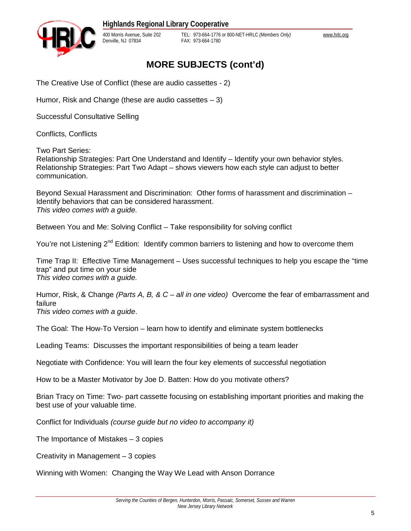

400 Morris Avenue, Suite 202 TEL: 973-664-1776 or 800-NET-HRLC *(Members Only)* [www.hrlc.org](http://www.hrlc.org) FAX: 973-664-1780

# **MORE SUBJECTS (cont'd)**

The Creative Use of Conflict (these are audio cassettes - 2)

Humor, Risk and Change (these are audio cassettes – 3)

Successful Consultative Selling

Conflicts, Conflicts

Two Part Series:

Relationship Strategies: Part One Understand and Identify – Identify your own behavior styles. Relationship Strategies: Part Two Adapt – shows viewers how each style can adjust to better communication.

Beyond Sexual Harassment and Discrimination: Other forms of harassment and discrimination – Identify behaviors that can be considered harassment. *This video comes with a guide.* 

Between You and Me: Solving Conflict – Take responsibility for solving conflict

You're not Listening  $2^{nd}$  Edition: Identify common barriers to listening and how to overcome them

Time Trap II: Effective Time Management – Uses successful techniques to help you escape the "time trap" and put time on your side *This video comes with a guide.* 

Humor, Risk, & Change *(Parts A, B, & C – all in one video)* Overcome the fear of embarrassment and failure *This video comes with a guide*.

The Goal: The How-To Version – learn how to identify and eliminate system bottlenecks

Leading Teams: Discusses the important responsibilities of being a team leader

Negotiate with Confidence: You will learn the four key elements of successful negotiation

How to be a Master Motivator by Joe D. Batten: How do you motivate others?

Brian Tracy on Time: Two- part cassette focusing on establishing important priorities and making the best use of your valuable time.

Conflict for Individuals *(course guide but no video to accompany it)* 

The Importance of Mistakes – 3 copies

Creativity in Management – 3 copies

Winning with Women: Changing the Way We Lead with Anson Dorrance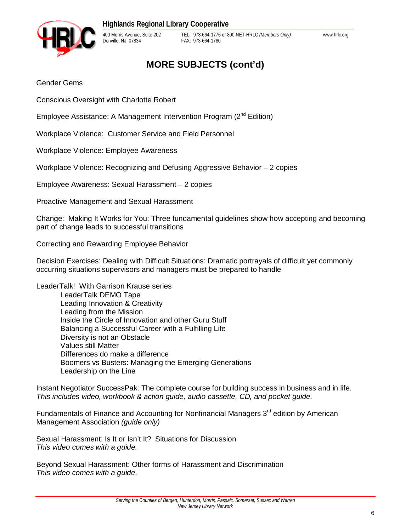

400 Morris Avenue, Suite 202 TEL: 973-664-1776 or 800-NET-HRLC *(Members Only)* [www.hrlc.org](http://www.hrlc.org) FAX: 973-664-1780

# **MORE SUBJECTS (cont'd)**

Gender Gems

Conscious Oversight with Charlotte Robert

Employee Assistance: A Management Intervention Program (2<sup>nd</sup> Edition)

Workplace Violence: Customer Service and Field Personnel

Workplace Violence: Employee Awareness

Workplace Violence: Recognizing and Defusing Aggressive Behavior – 2 copies

Employee Awareness: Sexual Harassment – 2 copies

Proactive Management and Sexual Harassment

Change: Making It Works for You: Three fundamental guidelines show how accepting and becoming part of change leads to successful transitions

Correcting and Rewarding Employee Behavior

Decision Exercises: Dealing with Difficult Situations: Dramatic portrayals of difficult yet commonly occurring situations supervisors and managers must be prepared to handle

LeaderTalk! With Garrison Krause series LeaderTalk DEMO Tape Leading Innovation & Creativity Leading from the Mission Inside the Circle of Innovation and other Guru Stuff Balancing a Successful Career with a Fulfilling Life Diversity is not an Obstacle Values still Matter Differences do make a difference Boomers vs Busters: Managing the Emerging Generations Leadership on the Line

Instant Negotiator SuccessPak: The complete course for building success in business and in life. *This includes video, workbook & action guide, audio cassette, CD, and pocket guide.* 

Fundamentals of Finance and Accounting for Nonfinancial Managers  $3<sup>rd</sup>$  edition by American Management Association *(guide only)* 

Sexual Harassment: Is It or Isn't It? Situations for Discussion *This video comes with a guide.*

Beyond Sexual Harassment: Other forms of Harassment and Discrimination *This video comes with a guide.*